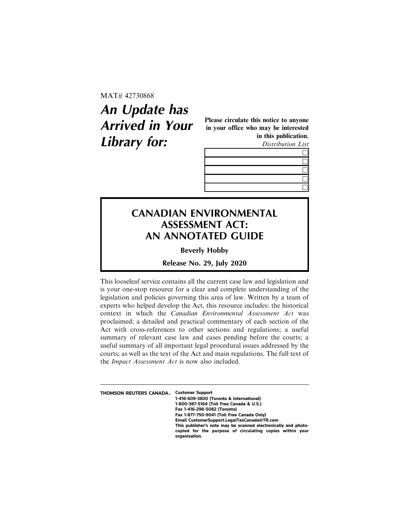MAT# 42730868

## **An Update has Arrived in Your Library for:**

Please circulate this notice to anyone in your office who may be interested in this publication. Distribution List



## **CANADIAN ENVIRONMENTAL ASSESSMENT ACT: AN ANNOTATED GUIDE**

**Beverly Hobby**

**Release No. 29, July 2020**

This looseleaf service contains all the current case law and legislation and is your one-stop resource for a clear and complete understanding of the legislation and policies governing this area of law. Written by a team of experts who helped develop the Act, this resource includes: the historical context in which the Canadian Environmental Assessment Act was proclaimed; a detailed and practical commentary of each section of the Act with cross-references to other sections and regulations; a useful summary of relevant case law and cases pending before the courts; a useful summary of all important legal procedural issues addressed by the courts; as well as the text of the Act and main regulations. The full text of the Impact Assessment Act is now also included.

| <b>THOMSON REUTERS CANADA</b> ® | <b>Customer Support</b>                                        |
|---------------------------------|----------------------------------------------------------------|
|                                 | 1-416-609-3800 (Toronto & International)                       |
|                                 | 1-800-387-5164 (Toll Free Canada & U.S.)                       |
|                                 | Fax 1-416-298-5082 (Toronto)                                   |
|                                 | Fax 1-877-750-9041 (Toll Free Canada Only)                     |
|                                 | Email CustomerSupport.LegalTaxCanada@TR.com                    |
|                                 | This publisher's note may be scanned electronically and photo- |
|                                 | copied for the purpose of circulating copies within your       |
|                                 | organization.                                                  |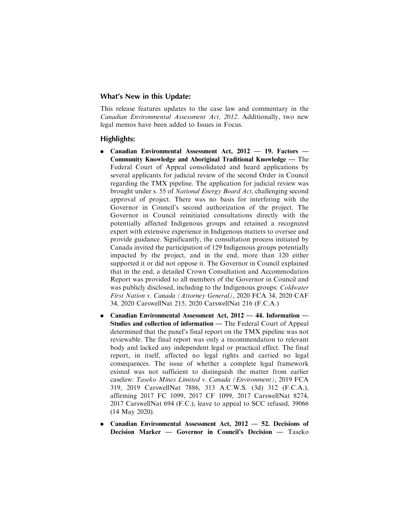## **What's New in this Update:**

This release features updates to the case law and commentary in the Canadian Environmental Assessment Act, 2012. Additionally, two new legal memos have been added to Issues in Focus.

## **Highlights:**

- . Canadian Environmental Assessment Act, 2012 19. Factors Community Knowledge and Aboriginal Traditional Knowledge — The Federal Court of Appeal consolidated and heard applications by several applicants for judicial review of the second Order in Council regarding the TMX pipeline. The application for judicial review was brought under s. 55 of National Energy Board Act, challenging second approval of project. There was no basis for interfering with the Governor in Council's second authorization of the project. The Governor in Council reinitiated consultations directly with the potentially affected Indigenous groups and retained a recognized expert with extensive experience in Indigenous matters to oversee and provide guidance. Significantly, the consultation process initiated by Canada invited the participation of 129 Indigenous groups potentially impacted by the project, and in the end, more than 120 either supported it or did not oppose it. The Governor in Council explained that in the end, a detailed Crown Consultation and Accommodation Report was provided to all members of the Governor in Council and was publicly disclosed, including to the Indigenous groups: Coldwater First Nation v. Canada (Attorney General), 2020 FCA 34, 2020 CAF 34, 2020 CarswellNat 215, 2020 CarswellNat 216 (F.C.A.)
- . Canadian Environmental Assessment Act, 2012 44. Information Studies and collection of information — The Federal Court of Appeal determined that the panel's final report on the TMX pipeline was not reviewable. The final report was only a recommendation to relevant body and lacked any independent legal or practical effect. The final report, in itself, affected no legal rights and carried no legal consequences. The issue of whether a complete legal framework existed was not sufficient to distinguish the matter from earlier caselaw: Taseko Mines Limited v. Canada (Environment), 2019 FCA 319, 2019 CarswellNat 7886, 313 A.C.W.S. (3d) 312 (F.C.A.), affirming 2017 FC 1099, 2017 CF 1099, 2017 CarswellNat 8274, 2017 CarswellNat 694 (F.C.), leave to appeal to SCC refused, 39066 (14 May 2020).
- . Canadian Environmental Assessment Act, 2012 52. Decisions of Decision Marker — Governor in Council's Decision — Taseko